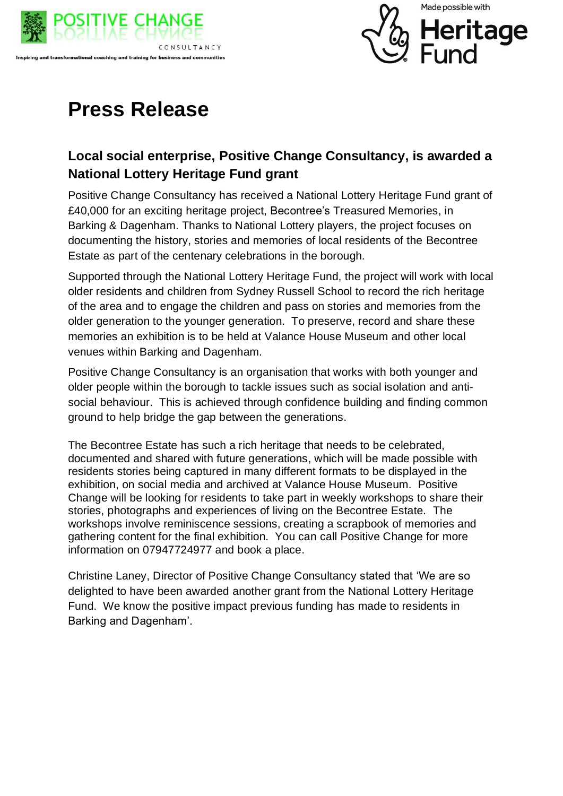



# **Press Release**

## **Local social enterprise, Positive Change Consultancy, is awarded a National Lottery Heritage Fund grant**

Positive Change Consultancy has received a National Lottery Heritage Fund grant of £40,000 for an exciting heritage project, Becontree's Treasured Memories, in Barking & Dagenham. Thanks to National Lottery players, the project focuses on documenting the history, stories and memories of local residents of the Becontree Estate as part of the centenary celebrations in the borough.

Supported through the National Lottery Heritage Fund, the project will work with local older residents and children from Sydney Russell School to record the rich heritage of the area and to engage the children and pass on stories and memories from the older generation to the younger generation. To preserve, record and share these memories an exhibition is to be held at Valance House Museum and other local venues within Barking and Dagenham.

Positive Change Consultancy is an organisation that works with both younger and older people within the borough to tackle issues such as social isolation and antisocial behaviour. This is achieved through confidence building and finding common ground to help bridge the gap between the generations.

The Becontree Estate has such a rich heritage that needs to be celebrated, documented and shared with future generations, which will be made possible with residents stories being captured in many different formats to be displayed in the exhibition, on social media and archived at Valance House Museum. Positive Change will be looking for residents to take part in weekly workshops to share their stories, photographs and experiences of living on the Becontree Estate. The workshops involve reminiscence sessions, creating a scrapbook of memories and gathering content for the final exhibition. You can call Positive Change for more information on 07947724977 and book a place.

Christine Laney, Director of Positive Change Consultancy stated that 'We are so delighted to have been awarded another grant from the National Lottery Heritage Fund. We know the positive impact previous funding has made to residents in Barking and Dagenham'.